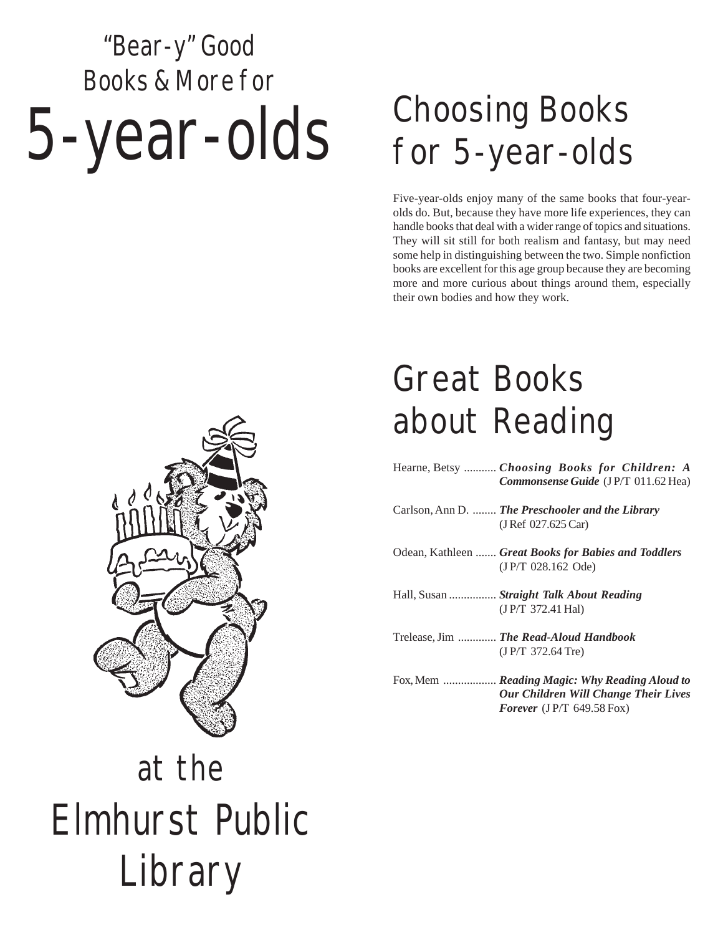# "Bear-y" Good Books & More for 5-year-olds

### Choosing Books for 5-year-olds

Five-year-olds enjoy many of the same books that four-yearolds do. But, because they have more life experiences, they can handle books that deal with a wider range of topics and situations. They will sit still for both realism and fantasy, but may need some help in distinguishing between the two. Simple nonfiction books are excellent for this age group because they are becoming more and more curious about things around them, especially their own bodies and how they work.



### Great Books about Reading

| Hearne, Betsy  Choosing Books for Children: A<br>Commonsense Guide (JP/T 011.62 Hea)  |
|---------------------------------------------------------------------------------------|
| Carlson, Ann D.  The Preschooler and the Library<br>(J Ref $027.625$ Car)             |
| Odean, Kathleen  Great Books for Babies and Toddlers<br>$(J P/T 028.162$ Ode)         |
| Hall, Susan  Straight Talk About Reading<br>(JP/T 372.41 Hal)                         |
| Trelease, Jim  The Read-Aloud Handbook<br>$(J P/T 372.64$ Tre)                        |
| Fox, Mem  Reading Magic: Why Reading Aloud to<br>Our Children Will Change Their Lives |

*Forever* (J P/T 649.58 Fox)

## at the Elmhurst Public Library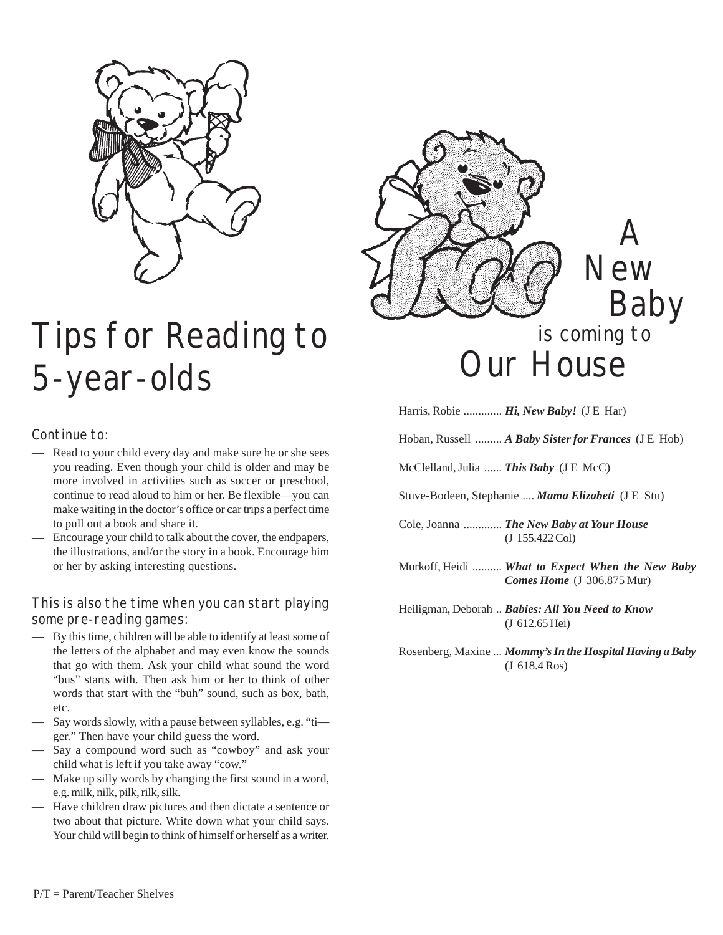

#### Tips for Reading to is coming<br>
E vear, alds 5-year-olds

#### Continue to:

- Read to your child every day and make sure he or she sees you reading. Even though your child is older and may be more involved in activities such as soccer or preschool, continue to read aloud to him or her. Be flexible—you can make waiting in the doctor's office or car trips a perfect time to pull out a book and share it.
- Encourage your child to talk about the cover, the endpapers, the illustrations, and/or the story in a book. Encourage him or her by asking interesting questions.

#### This is also the time when you can start playing some pre-reading games:

- By this time, children will be able to identify at least some of the letters of the alphabet and may even know the sounds that go with them. Ask your child what sound the word "bus" starts with. Then ask him or her to think of other words that start with the "buh" sound, such as box, bath, etc.
- Say words slowly, with a pause between syllables, e.g. "ti ger." Then have your child guess the word.
- Say a compound word such as "cowboy" and ask your child what is left if you take away "cow."
- Make up silly words by changing the first sound in a word, e.g. milk, nilk, pilk, rilk, silk.
- Have children draw pictures and then dictate a sentence or two about that picture. Write down what your child says. Your child will begin to think of himself or herself as a writer.



Harris, Robie ............. *Hi, New Baby!* (J E Har)

Hoban, Russell ......... *A Baby Sister for Frances* (J E Hob)

McClelland, Julia ...... *This Baby* (J E McC)

Stuve-Bodeen, Stephanie .... *Mama Elizabeti* (J E Stu)

Cole, Joanna ............. *The New Baby at Your House* (J 155.422 Col)

Murkoff, Heidi .......... *What to Expect When the New Baby Comes Home* (J 306.875 Mur)

Heiligman, Deborah .. *Babies: All You Need to Know* (J 612.65 Hei)

Rosenberg, Maxine ... *Mommy's In the Hospital Having a Baby* (J 618.4 Ros)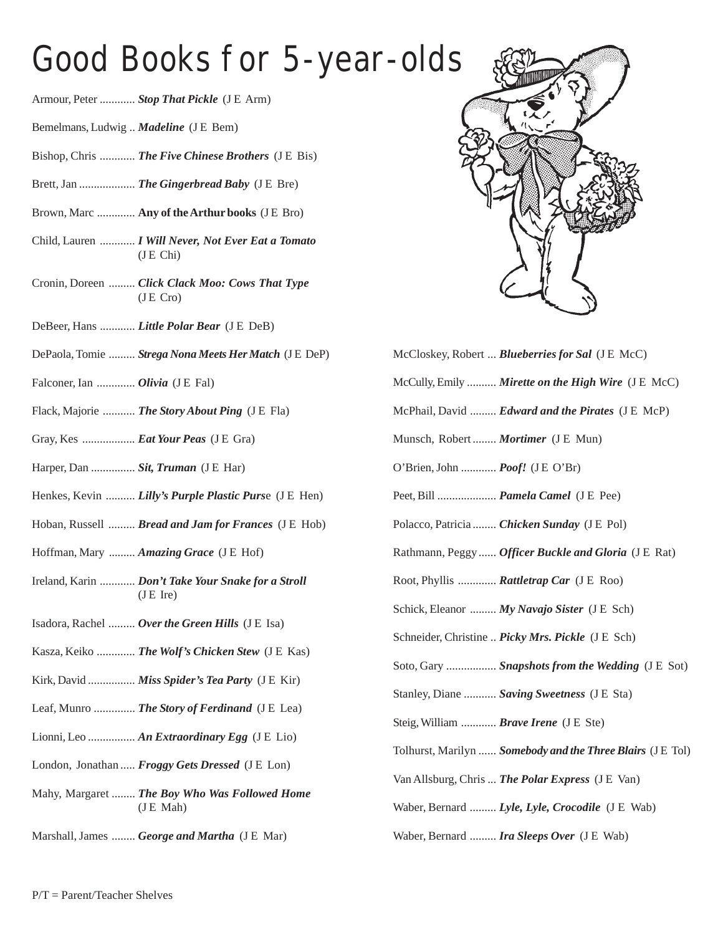#### Good Books for 5-year-olds

- Armour, Peter ............ *Stop That Pickle* (J E Arm)
- Bemelmans, Ludwig .. *Madeline* (J E Bem)
- Bishop, Chris ............ *The Five Chinese Brothers* (J E Bis)
- Brett, Jan ................... *The Gingerbread Baby* (J E Bre)
- Brown, Marc ............. **Any of the Arthur books** (J E Bro)
- Child, Lauren ............ *I Will Never, Not Ever Eat a Tomato* (J E Chi)
- Cronin, Doreen ......... *Click Clack Moo: Cows That Type* (J E Cro)
- DeBeer, Hans ............ *Little Polar Bear* (J E DeB)
- DePaola, Tomie ......... *Strega Nona Meets Her Match* (J E DeP)
- Falconer, Ian ............. *Olivia* (J E Fal)
- Flack, Majorie ........... *The Story About Ping* (J E Fla)
- Gray, Kes .................. *Eat Your Peas* (J E Gra)
- Harper, Dan ................ *Sit, Truman* (J E Har)
- Henkes, Kevin .......... *Lilly's Purple Plastic Purs*e (J E Hen)
- Hoban, Russell ......... *Bread and Jam for Frances* (J E Hob)
- Hoffman, Mary ......... *Amazing Grace* (J E Hof)
- Ireland, Karin ............ *Don't Take Your Snake for a Stroll*  $(J E$  Ire)
- Isadora, Rachel ......... *Over the Green Hills* (J E Isa)
- Kasza, Keiko ............. *The Wolf's Chicken Stew* (J E Kas)
- Kirk, David ................ *Miss Spider's Tea Party* (J E Kir)
- Leaf, Munro .............. *The Story of Ferdinand* (J E Lea)
- Lionni, Leo ................ *An Extraordinary Egg* (J E Lio)
- London, Jonathan ..... *Froggy Gets Dressed* (J E Lon)
- Mahy, Margaret ........ *The Boy Who Was Followed Home* (J E Mah)
- Marshall, James ........ *George and Martha* (J E Mar)



| McCloskey, Robert <b>Blueberries for Sal</b> (J E McC)     |
|------------------------------------------------------------|
| McCully, Emily  Mirette on the High Wire (J E McC)         |
| McPhail, David <i>Edward and the Pirates</i> (J E McP)     |
| Munsch, Robert  Mortimer (J E Mun)                         |
| O'Brien, John  Poof! (JE O'Br)                             |
| Peet, Bill  Pamela Camel (J E Pee)                         |
| Polacco, Patricia  Chicken Sunday (JE Pol)                 |
| Rathmann, Peggy  Officer Buckle and Gloria (J E Rat)       |
| Root, Phyllis  Rattletrap Car (J E Roo)                    |
| Schick, Eleanor  My Navajo Sister (J E Sch)                |
| Schneider, Christine  Picky Mrs. Pickle (J E Sch)          |
| Soto, Gary  Snapshots from the Wedding (J E Sot)           |
| Stanley, Diane  Saving Sweetness (J E Sta)                 |
| Steig, William  Brave Irene (J E Ste)                      |
| Tolhurst, Marilyn  Somebody and the Three Blairs (J E Tol) |
| Van Allsburg, Chris  The Polar Express (J E Van)           |
| Waber, Bernard  Lyle, Lyle, Crocodile (J E Wab)            |
| Waber, Bernard  Ira Sleeps Over (J E Wab)                  |